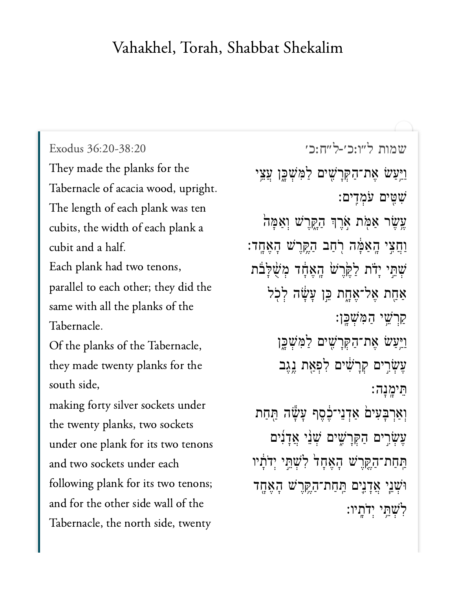## Vahakhel, Torah, Shabbat Shekalim

[שמות ל״ו:כ׳-ל״ח:כ׳](https://www.sefaria.org/Exodus%2036:20-38:20) [36:20-38:20 Exodus](https://www.sefaria.org/Exodus%2036:20-38:20) They made the planks for the Tabernacle of acacia wood, upright. The length of each plank was ten cubits, the width of each plank a cubit and a half. Each plank had two tenons, parallel to each other; they did the same with all the planks of the Tabernacle. Of the planks of the Tabernacle, they made twenty planks for the south side, making forty silver sockets under the twenty planks, two sockets under one plank for its two tenons and two sockets under each following plank for its two tenons; and for the other side wall of the Tabernacle, the north side, twenty

וַיִּעַשׂ אֶת־הַקְּרָשִׁים לַמִּשְׁכֶּן עֲצֵי ִׁש ִּ֖ט ים ֹע ְמ ִֽד ים׃ ּעֱשֶׂר אַמְּת אְרֶךְ הַקֶּרֵשׁ וְאַמָּה וַחֲצֵי הָאַמֶּ֫ה רְחַב הַקֵּרֵ<sup>ּ</sup>שׁ הָאֲחֶד: ְּשְׁתֵּי יָדֹת לַקֵּרֵשׁ הָאֲחָד מְשָׁלַבה אַחָת אֶל־אֶחֶת כֵּו עָשָׂה לְכָל ַקַרְשֵׁי הַמְּשָׁכֵּן: וַיִּעַשׂ אֶת־הַקְּרַשִׁים לַמְּשָׁכֵּן עֲשָׂרֵים קְרַשִׁים לְפְאָת נֵגֵב ֵּת יָֽמ ָנ ה׃ וְאַרְבְּעִים<mark>ֹ א</mark>ַדְנֵי־בֶׂסֶף עָשָׂה הַּחַת ְעֵשְׂרֵים הַקְּרַשָׁים שָׁנֵי אֲדָנִים ַתֲּחַת־הַקֵּרֵשׁ הָאֲחָל לְשָׁתֵּי יִדֹּתָוּי וּ<sup>ׂ</sup>שָׁנֵי אֲדָנֵים הַּחַת־הַקֵּרֵשׁ הָאֲחֶד לֹשׁתּי ידׂתיו: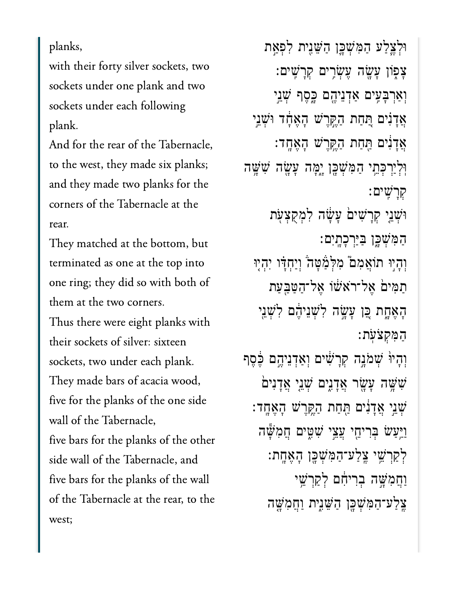planks,

with their forty silver sockets, two sockets under one plank and two sockets under each following plank.

And for the rear of the Tabernacle, to the west, they made six planks; and they made two planks for the corners of the Tabernacle at the rear.

They matched at the bottom, but terminated as one at the top into one ring; they did so with both of them at the two corners.

Thus there were eight planks with their sockets of silver: sixteen sockets, two under each plank. They made bars of acacia wood, five for the planks of the one side wall of the Tabernacle, five bars for the planks of the other side wall of the Tabernacle, and five bars for the planks of the wall of the Tabernacle at the rear, to the west;

וּלְצֵלַע הַמְּשָׁכֵּ֣ן הַשֵּׁנִית לְפִאַת ָצְפָׂוֹן עָשֶׂה עֶשְׂרִים קְרַשִׁים: וְאַרְבְּעִים אַדְנֵיהֶם כֶּסֶף שָׁנֵי אֲדָנִים הַחַחת הַקֶּרֵישׁ הָאֵחָד וּשָׁנֵי ָאֲדָנִים תַּחַת הַקֶּרֶשׁ הָאֶחֶד: ּוְלְיַרְבְּחֵי הַמִּשְׁבֶּן יָמָּה עָשָׂה שִׁשָּׁה ְקָרִֽׁשים׃ וּ<sup>ֹ</sup>שָׁנֵי קְרַשִׁים עַּשָׂה לְמִקְצְעָת ַהַמְּשָׁכֶּן בַּיַּרְכָתְיִם: וְהָיִוּ תוֹאֲמִם*ٔ* מִּלְמַּׁטָּה*ֹ* וְיַחְדָּו יִהְיָוּ ַתִּמי֙ם ֶאל־ֹראׁ֔שֹו ֶאל־ַהַּטַּ֖בַעת ָהֶאָ֑חת ֵּ֚כן ָעָׂ֣שה ִלְׁשֵניֶ֔הם ִלְׁשֵ֖ני ַהִּמְקֹצֹֽעת׃ וְהָיוּ שִׁמֹנֵה קְרָשִׁים וְאַדְנֵיהֵם בֶּׁסֵף ֿשָׁשֶׁה עָשָׂר אֲדָנִים שָׁנֵי אֲדָנִים ְׁשֵ֣ני ֲאָדִ֔נים ַּ֖תַחת ַהֶּ֥קֶרׁש ָהֶאָֽחד׃ וַיַּעַשׂ בְּרִיחֵי עֲצֵי שִׁמֻּים חֲמִשָּׁה ַלְקַרְשֵׁי צֵלַע־הַמִּשְׁכֶּן הָאֶחֶת: וַחֲמִשֶּׁה בְרִיחָם לְקַרְשֵׁי ֶֽצַלע־ַהִּמְׁשָּ֖כן ַהֵּׁשִ֑נית ַוֲחִמָּׁ֤שה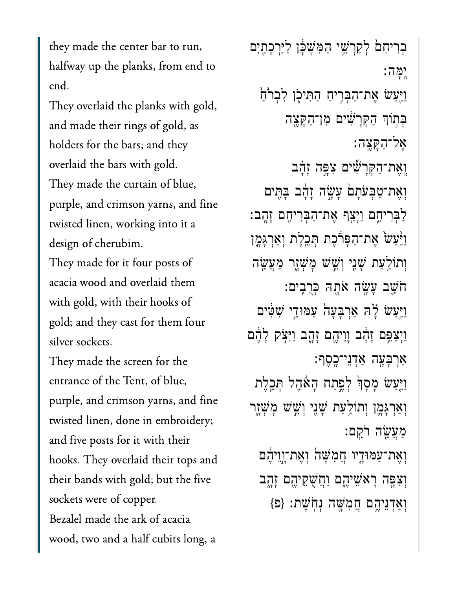they made the center bar to run, halfway up the planks, from end to end.

They overlaid the planks with gold, and made their rings of gold, as holders for the bars; and they overlaid the bars with gold. They made the curtain of blue, purple, and crimson yarns, and fine twisted linen, working into it a design of cherubim. They made for it four posts of acacia wood and overlaid them with gold, with their hooks of gold; and they cast for them four silver sockets. They made the screen for the entrance of the Tent, of blue,

purple, and crimson yarns, and fine twisted linen, done in embroidery; and five posts for it with their hooks. They overlaid their tops and their bands with gold; but the five sockets were of copper. Bezalel made the ark of acacia wood, two and a half cubits long, a

בִרִיחָם לְקַרָּשֵׁי הַמְּשָׁכָּן לַיַּרְכָתַיִם ָֽיָּמה׃ ַוַיִּעַשׂ אֶת־הַבְּרִיחַ הַתִּיכָן לְבִרוּ֫חַ ּבִּתְוֹךְ הַקְּרָשִׁׂים מְן־הַקָּצֵה ֶאל־ַהָּקֶֽצה׃ וֶאֶת־הָקְרָשִׁים צְפֵּה זָהָב וְאֶת־טַבְּעֹתָם עָשָׂה זָהָד בָּתִּים ַלְּבִרִיהָם וַיִּצֵּף אֶת־הַבְּרִיהָם זָהֶב: וַיָּּעַשׂ אֶת־הַפְּרֹּכֶת הְּבֵלֶת וְאַרְגְּמֶן וְתוֹלֵעַת שָׁנִי וְשֵׁשׁ מָ<sup>ּ</sup>שְׁזָר מַעֲשֵׂה ֹחֵׁ֛שב ָעָׂ֥שה ֹאָ֖תּה ְּכֻרִֽבים׃ ַוַיִּעַשׂ לָ<sup>ׂ</sup>ה אַרְבָעָה<sup>ָ</sup> עַמּוּדֵי שִׁטָּים וַיְצַפֵּם זָהָד וְוֵיהֶם זָהָב וַיִּצֹק לָהֵם ַאֲרִבָּעָה אַדְנֵי־כָסֶף: ַוַיַּעֲשׂ מַסָן לְפֵתַח הָאָהֶל תְּבֵלֶת וְאַרִגָּמֶן וְתוֹלַעַּת שָׁנִי וְשֵׁשׁ מְ*שָׁ*זָר ַמֲעֵׂ֖שה ֹרֵֽקם׃ וְאֶת־עַמּוּדֶיו חֲמִשָּׁה וְאֶת־וָוֵיהֶם וְצָפֶּה רָא<sup>ָ</sup>שֵיְהֱם וַחֲשָׁקֵיהֵם זָהָב וְאַדְנֵיהֵם חֲמִשֶׁה נְחָ<sup>י</sup>ּשֶׁת: {פ<sub>ּ</sub>}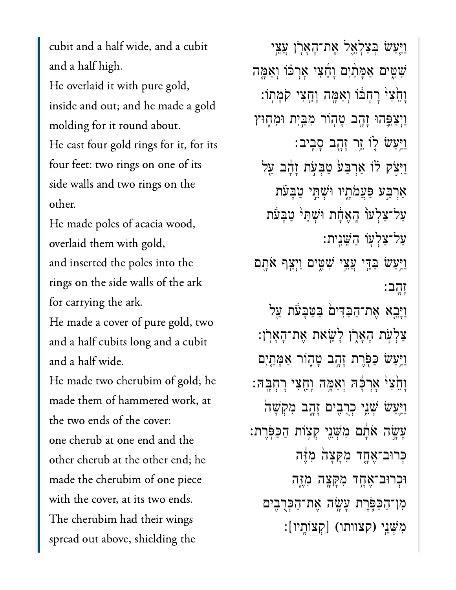cubit and a half wide, and a cubit and a half high. He overlaid it with pure gold, inside and out; and he made a gold molding for it round about. He cast four gold rings for it, for its four feet: two rings on one of its side walls and two rings on the other.

He made poles of acacia wood, overlaid them with gold, and inserted the poles into the rings on the side walls of the ark for carrying the ark.

He made a cover of pure gold, two and a half cubits long and a cubit and a half wide.

He made two cherubim of gold; he made them of hammered work, at the two ends of the cover: one cherub at one end and the other cherub at the other end; he made the cherubim of one piece with the cover, at its two ends. The cherubim had their wings spread out above, shielding the

וַיִּעַשׂ בִּצַלְאֵל אֶת־הָאַרֹן עֲצֵי שִׁטִּים אָמַּתַ֫יִם וַחֵצִי אַרְכֹּוֹ וְאַמֶּה וַחֵצִ<sup>ּנְ</sup> רַחְבֹּוֹ וְאַמֶּה וַחֱצִי קֹמַתוֹ: וַיִּצַפֵּהוּ זָהֶב טָהְוֹר מִבַּיִת וּמִחָוּץ וַיֵּעַשׂ לֵוֹ זֵר זָהָב סָבִיב: וַיִּצֹק לֹוֹ אַרִבַּע<sup>ָ</sup> טַבְעָת זָהָב עַל אַרִבְּע פַּעֲמֹתָיו וּשָׁתֵּי טַבָּעת ַעַל־צַלְעוֹ הֶאֵחָת וּשִׁתֵ<sup>ן</sup> טַבַּעת ַעל־ַצְל֖עֹו ַהֵּׁשִֽנית׃ ַוַיִּעַּשׂ בַּדֵּי עֲצֵי שִׁטִִּּים וַיִּצֵּף אֹתָם ָזָֽהב׃ וַיָּבֵא אֶת־הַבִּדִּים בַּטַּבַעת עַל ָצַלְעָׁת הָאָרָן לָ $\mathbf w$ את אֶת־הָאָרן: וַיַּעַשׂ כַּפְּרֶת זָהֶב טָהֶוֹר אַמָּתַיִם וָהֵצִ<sup>ּנְ</sup> אָרְכָּה וְאַמֶּה וָחֱצִי רָחָבָּה: וַיֵּעַשׂ שָׁנֵי כִרָבִים זָהֶב מִקְשָׁה ָעָׂ֣שה ֹאָ֔תם ִמְּׁשֵ֖ני ְק֥צֹות ַהַּכֹּֽפֶרת׃ כְּרוּב־אֶחֶד מִקַּצַה מְזֶּה ּוּכְרוּב־אֶחֶד מְקַצָּה מְזֶה ִמן־ַהַּכֹּ֛פֶרת ָעָׂ֥שה ֶאת־ַהְּכֻרִ֖בים ִמְּׁשֵ֥ני )קצוותו( ]ְקצֹוָֽתיו[׃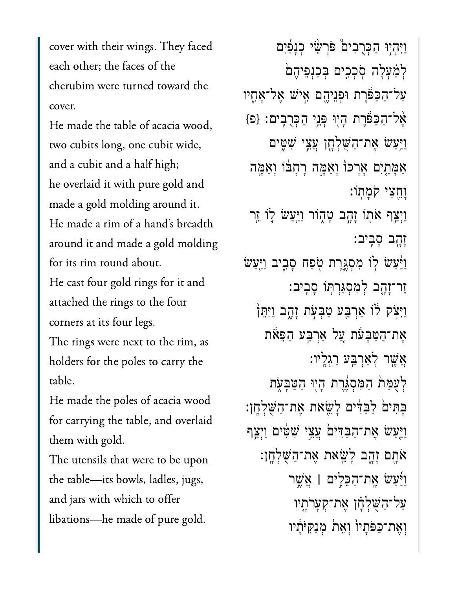cover with their wings. They faced each other; the faces of the cherubim were turned toward the cover.

He made the table of acacia wood, two cubits long, one cubit wide, and a cubit and a half high; he overlaid it with pure gold and made a gold molding around it. He made a rim of a hand's breadth around it and made a gold molding for its rim round about.

He cast four gold rings for it and attached the rings to the four corners at its four legs.

The rings were next to the rim, as holders for the poles to carry the table.

He made the poles of acacia wood for carrying the table, and overlaid them with gold.

The utensils that were to be upon the table—its bowls, ladles, jugs, and jars with which to offer libations-he made of pure gold.

וַיְּהִיוּ הַכְּרָבִים εּׂרְשֵׂי כְנָפַוֹם לְמַׁעְלָה סְכְכִים בִּכַּנִפֵּיהֵם עַל־הַכַּפּֿרֶת וּפְנֵיהֱם אֵישׁ אֱל־אָחֶיו אֱל־הַכַּפּוֹרַת הָיִוּ פְּנֵי הַכְרֻבֵים: {פּ} <u>ויַ</u>עַשׂ אַת־הַשָּׁלְחֶן עֲצֵי שָׁטִּים אַמַּתֵיִם אַרְכּוֹ וְאַמֵּה רַחְבּוֹ וְאַמֵּה וַחֵצִי קֹמַתוֹ: וַיִּצַרְ אֹתוֹ זָהֶב טָהָוֹר וַיַּעַשׂ לֵוֹ זֵר זַהֵב סַבִיב: וַיַּׁעַשׂ לְוֹ מִסְגֶּרֶת טְפַח סָבֶיב וַיַּעַשׂ זֵר־זָהֱב לִמְסְגַּרְתְּוֹ סָבִיב: וַיִּצְק לֹוֹ אַרְבֵּע טַבְעָת זָהֶב וַיִּתֵן אֶת־הַטַּבָּעֹׁת עֲל אַרְבֵּע הַפֵּאֹת אֲשֱר לְאַרְבַּע רַגְלֵיו: לְעָמַת הַמְּסְגֶּרֶת הַיִּוּ הַטֲבָעָת בָּתִּיםׂ לַבַּדִּים לָשֵׂאת אֶת־הַשָּׁלְחֶן: ויעש אַת־הַבַּדִּים עֲצֵי שָׁטָּים וַיִצַף אֹתָם זָהָב לַשֵּׂאת אֶת־הַשָּׁלְחָן: וַיִּׁעֲשׂ אֱת־הַכֵּלִים | אֲשֶׁר עַל־הַשָּׁלְחַׁן אֲת־קַעֲרֹתֵיו וְאֵת־כַפֹּתַיוֹ וְאֵתֹ מִנַקִּיֹּתִ֫יו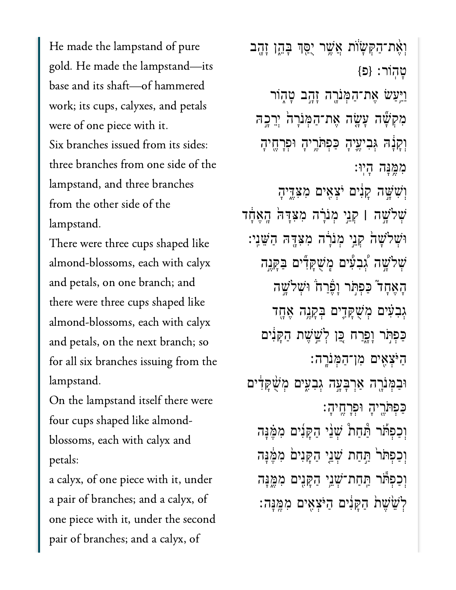He made the lampstand of pure gold. He made the lampstand—its base and its shaft-of hammered work; its cups, calyxes, and petals were of one piece with it. Six branches issued from its sides: three branches from one side of the lampstand, and three branches from the other side of the lampstand.

There were three cups shaped like almond-blossoms, each with calyx and petals, on one branch; and there were three cups shaped like almond-blossoms, each with calyx and petals, on the next branch; so for all six branches issuing from the lampstand.

On the lampstand itself there were four cups shaped like almondblossoms, each with calyx and petals:

a calyx, of one piece with it, under a pair of branches; and a calyx, of one piece with it, under the second pair of branches; and a calyx, of

וְאֵת־הַקִּשָׂוֹת אֲשֶׁר יָסֵךְ בְּהֶן זָהֱב טהור: {פ} וַיִּעַשׂ אֶת־הַמְּנֹרֶה זָהֶב טָהָוֹר מִקְשָׁה עֲשָׂה אֲת־הַמְּנִרָה יְרֵכָה וְקַנָּה גִּבִיעֵיהָ כַּפִתּּרֵיהָ וּפִרָחֵיהָ ממֵנַה הֵיוּ: וְשִׁשֵׁה קַנִּים יֹצְאֵים מִצְדֱיהָ שִׁלֹשֶׁה | קְנֵי מְנֹרָה מִצְדָּה הָאֲחָד וּשִׁלֹשָׁהֹ קְנֵי מִנֹּרָה מִצְדֶּהּ הַשֵּׁנֵי: ּשִׁלֹשֱה גִּבְעִּים מֵשָׁקַדִּים בַּקַּנֵה האֶחָד" כַּפְתֹּר וַפָּרַח וּשָׁלֹשֵׁה גִּבְעָיִם מְשָׁקָדֵים בִּקָנֵה אֵחֶד כַּפִּתְּר וַפֵּרַח כֵּן לְשֵׁשֵׁת הַקֵּנִים הַיֹּצְאֵים מִן־הַמְּנֹרֵה: וּבִמְּנֹרֶה אַרְבָּעָה גִּבְעִים מִשָּׁקָדִים כַּפִתּׂרֵיהָ וּפִרָחֵיהָ: וְכַפְתֹׁר הַּׂחַת ۢ שָׁנֵי הַקָּנִים מִמֵּׁנָּה וְכַפְתֹּר תֲחַת שָׁנֵי הַקָּנִים מְמֵנָּה וְכַפְתוֹ תַּחַת־שָׁנֵי הַקַּנֵים מִמֵּנַּה לֹשֵׂשֵׁת הַקַּנִים הַיֹּצְאֵים מִמֱנָּה: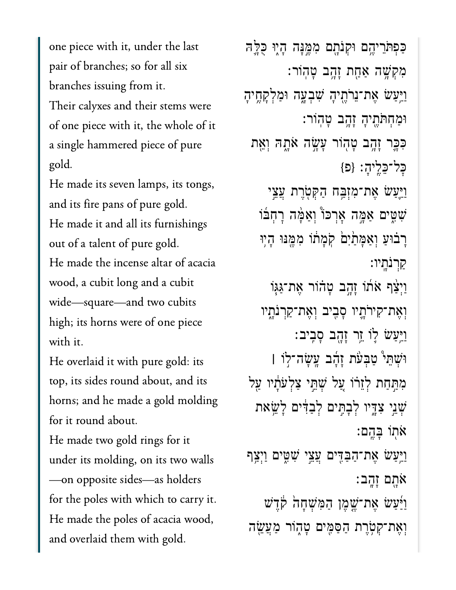one piece with it, under the last pair of branches; so for all six branches issuing from it. Their calyxes and their stems were of one piece with it, the whole of it a single hammered piece of pure gold.

He made its seven lamps, its tongs, and its fire pans of pure gold. He made it and all its furnishings out of a talent of pure gold. He made the incense altar of acacia wood, a cubit long and a cubit wide—square—and two cubits high; its horns were of one piece with it.

He overlaid it with pure gold: its top, its sides round about, and its horns; and he made a gold molding for it round about.

He made two gold rings for it under its molding, on its two walls —on opposite sides—as holders for the poles with which to carry it. He made the poles of acacia wood, and overlaid them with gold.

ּכַּפְּתֵּרֵיהֶם וּקְנֹתָם מִמֶּנָּה הָיֶוּ כֻלֵּה ּמְקָשָׁה אַחַת זָהֶב טָהוֹר: וַיַּעַשׂ אֶת־נֵרֹתֶיהָ שִׁבְעֶה וּמַלְקָחֶיהָ ּוַמְחֹּתֶ֖תיָה ָזָ֥הב ָטֽהֹור׃ ּכִּבֶּר זָהֶב טָהְוֹר עָשָׂה אֹתָהּ וְאֵת  $\{ \Xi \}$ : בַּלֵיהָ:  $\{ \Xi \}$ וַיַּעַשׂ אֶת־מִזְבָּח הַקִּטְרֶת עֲצֵי שִׁשִּׂים אַמֶּה אָרִכּוֹּ וְאַמָּה רָחְבוֹ ַרְבֹוּעַ וְאַמָּתֹיִם קִמְתֹו מִמֶּנּוּ הָיִוּ ַקְרֹנָֽתיו׃ ַוְיָצָׁף אֹתוֹ זָהֶב טָהוֹר אֶת־גַּגְּוֹ וְאֶת־קִירֹתֶיו סָבְיִב וְאֶת־קַרְנֹתָיו וַיִּעַשׂ לְוֹ זֵר זָהָב סָבִיב: ּוְׁשֵּת֩י ַטְּבֹ֨עת ָזָ֜הב ָֽעָׂשה־֣לֹו **׀** מִתַּחַת לְזֵרֹו עֲל שָׁתֵּי צַלְעֹתָנוּ עַל ְׁשֵ֣ני ִצָּ֑דיו ְלָבִּ֣תים ְלַבִּ֔דים ָלֵׂ֥שאת ֹא֖תֹו ָּבֶֽהם׃ וַיִּעַּשׂ אֶת־הַבַּדִּים עֲצֵי שָׁטֶּים וַיְצַף ֹאָ֖תם ָזָֽהב׃ וַיַּּעַשׂ אֵת־שֶׁמֶן הַמְּשִׁחָה קָדֵשׁ וְאֶת־קִטְׂרֵת הַסַּמִּים טָהָוֹר מַעֲשֶׂה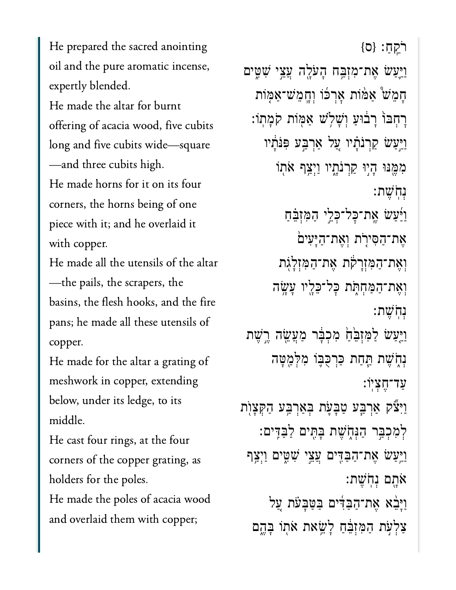He prepared the sacred anointing oil and the pure aromatic incense, expertly blended.

He made the altar for burnt offering of acacia wood, five cubits long and five cubits wide—square —and three cubits high. He made horns for it on its four corners, the horns being of one piece with it; and he overlaid it with copper.

He made all the utensils of the altar —the pails, the scrapers, the basins, the flesh hooks, and the fire pans; he made all these utensils of copper.

He made for the altar a grating of meshwork in copper, extending below, under its ledge, to its middle.

He cast four rings, at the four corners of the copper grating, as holders for the poles. He made the poles of acacia wood and overlaid them with copper;

 $[0;1]$ רֹ ַוַּ֛יַעׂש ֶאת־ִמְזַּ֥בח ָהֹעָ֖לה ֲעֵ֣צי ִׁשִּ֑טים ָחֵמׁ֩ש ַאּ֨מֹות ׇאְרּ֜כֹו ְוָֽחֵמׁש־ַאּ֤מֹות ָרְחָבּוֹ רָבוּעַ וְשָׁלְשׁ אַמְּוֹת קֹמָתוֹ: וַיַּעַשׂ קַרִנֹּתָ֫יו עַל אַרִבְּע פִּנֹּתָ֫יו מִמֵּנּוּ הָיִוּ קַרְנֹתָיו וַיִ**ּצֵ**ף אֹתְוֹ ְנֹֽחֶׁשת׃ וַיַּׁעַשׂ אֱת־כָּל־כָּלֵי הַמְזִבֵּחַ ְאֶת־הַסִּירָת וְאֶת־הַיָּעִים וְאֶת־הַמְּזָרָקה אֶת־הַמְּזְלָגְת וְאֶת־הַמְּחִתְּׂת כָּל־כָּלֵיו עַשָׂה ְנֹֽחֶׁשת׃ ַוַּיַּעַשׂ לַמְזָבֵּׂחַ מִכְבָּר מַעֲשֶׂה רֵשֶׁת נִתְּשֵׁת תַּחַת כַּרְכָּבֶו מִלְמַטָּה ַעד־ֶחְצֽיֹו׃ ַוִּיֹ֞צק ַאְרַּ֧בע ַטָּבֹ֛עת ְּבַאְרַּ֥בע ַהְּקָצֺ֖ות ַּלְמְכִבְּר הַנְּחָׂשֶׁת בָּתִּים לַבַּדִּים: וַיִּעַּשׂ אֶת־הַבַּדִּים עֲצֵי שָׁשֵׂים וַיְצַף  $:$ אָתָם וְחִשֶׁת $:$ וַיְּבֵ֫א אֶת־הַבַּדִּים בַּטַּבָעֹת עַל ַצְלְעָׁת הַמְּזָּבֵּ֫חַ לַּשֵׂאת אֹתוֹ בָּהֵם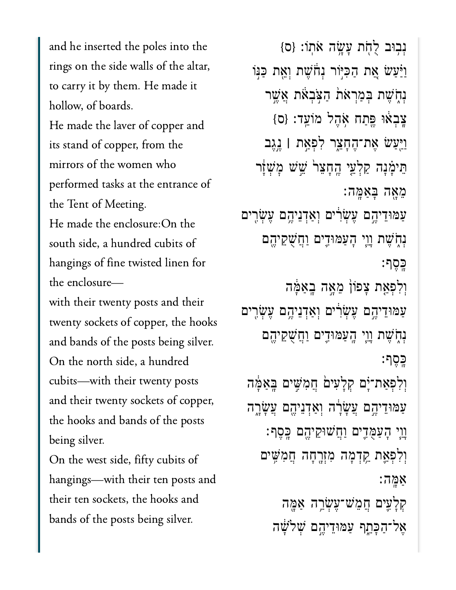and he inserted the poles into the rings on the side walls of the altar, to carry it by them. He made it hollow, of boards. He made the laver of copper and its stand of copper, from the mirrors of the women who performed tasks at the entrance of the Tent of Meeting. He made the enclosure: On the south side, a hundred cubits of hangings of fine twisted linen for the enclosure-

with their twenty posts and their twenty sockets of copper, the hooks and bands of the posts being silver. On the north side, a hundred cubits—with their twenty posts and their twenty sockets of copper, the hooks and bands of the posts being silver.

On the west side, fifty cubits of hangings—with their ten posts and their ten sockets, the hooks and bands of the posts being silver.

נִבוּב לְחָת עָשָׂה אֹתוֹ: {ס} וַיַּׁעֲשׂ אֱת הַכִּיּׂוֹר נְחֹֹשֶׁת וְאֱת כַּנִּוֹ נְחָשֶׁת בִּמְרָאת הַצְּבָאת אֱשֶׁר צֲבָאוּ פֵּתַח אָהֶל מוֹעֵד: {ס} וַיֵּעַשׂ אֶת־הֶחָצֵר לִפְאַת | נֵגֶב תֵּימַ֫נָה קַלְעֵי הֱחָצֵר שֵׁשׁ מָשָׁזָר מֵאָה בְּאַמֶּה: עַמּוּדֵיהֵם עֵשְׂרִים וְאַדְנֵיהֵם עֵשְׂרֵים ּנְחָשֵׁת וָוֵי הָעַמּוּדֵים וַחֲשָׁקֵיהֵם כסף: וִלְפְאֵת צָפוֹן מֵאֲה בָאַמֶּה עמודיהם עשרים ואדניהם עשרים נִהְשָׁת וַוֵי הֲעַמּוּדֵים וַחֲשָׁקֵיהֵם כֵּםֵף: וִלְפִאַת־יָֹם קִלָעִים הֲמָשֶׁים בָּאַמֶּה עַמּוּדֵיהֶם עֲשָׂרֶה וְאַדְנֵיהֶם עֲשָׂרֶה ַוְיֶי הָעַמֻּדֵים וַחֲשׁוּקֵיהֵם כָּסֵף: וְלִפְאֵת קֵדְמָה מִזְרֶחָה חֲמִשִּׁים אמה: קִלְעֵים חֲמֵשׁ־עֵשְׂרֵה אַמֵּה אֱל־הַכַּתֵף עַמּוּדֵיהֱם שָׁלֹשָׁה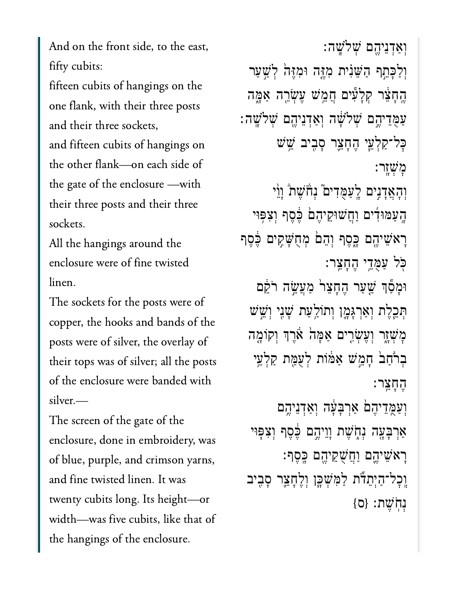And on the front side, to the east, fifty cubits:

fifteen cubits of hangings on the one flank, with their three posts and their three sockets,

and fifteen cubits of hangings on the other flank—on each side of the gate of the enclosure —with their three posts and their three sockets.

All the hangings around the enclosure were of fine twisted linen.

The sockets for the posts were of copper, the hooks and bands of the posts were of silver, the overlay of their tops was of silver; all the posts of the enclosure were banded with silver.—

The screen of the gate of the enclosure, done in embroidery, was of blue, purple, and crimson yarns, and fine twisted linen. It was twenty cubits long. Its height—or width—was five cubits, like that of the hangings of the enclosure.

ְוַאְדֵניֶ֖הם ְׁשֹלָֽׁשה׃ וְלַכְּחֵף הַשֵּׁנִית מְזֶּה וּמִזֶּה *ּ*לְשַׁעַר ֶֽהָחֵ֔צר ְקָלִ֕עים ֲחֵ֥מׁש ֶעְׂשֵ֖רה ַאָּ֑מה ֿעַמַדִיהֵם שִׁלֹשָׁה וְאַדְנֵיהֵם שִׁלֹשֵׁה ׇּכל־ַקְלֵ֧עי ֶהָחֵ֛צר ָסִ֖ביב ֵׁ֥שׁש ׇמְׁשָֽזר׃ וְהָאֲדָנִים לְעַמֻדִים ׁנְחֹ̈שֶׁתֹ וְוֵ֫י ּהָעַמּוּדִים וַחֲשׁוּקֵיהֶםׂ בֶּׁסֶף וְצִפְּוּי ַרְאֹּשֵׁיהֶם כֶּסֶף וְהֵםׂ מְחֻשָּׁקִים בֶּסֶף ֹּ֖כל ַעֻּמֵ֥די ֶהָחֵֽצר׃ וּמָטְֿף שַׁעַר הֶחָצֵר מַעֲשֵׂה רֹקֵם ְּתֵ֧כֶלת ְוַאְרָּגָ֛מן ְותֹוַ֥לַעת ָׁשִ֖ני ְוֵׁ֣שׁש מְּשָׁזָר וְעֵשְׂרִים אַמָּה אַרֵּךְ וִקוֹמֶה ָבְרֹחַב הָמֵשׁ אַמֹּוֹת לְעָמָּת קַלְעֵי ֶהָחֵֽצר׃ וְעַמֶּדֵיהֶםׂ אַרִּבָּעָּׂה וְאַדְנֵיהֶם ַאֲרָבָּעֶה **וְ**חָשֶׁת וָוֵיְהֱם בֶּסֵף וְצִפְּוּי ָרָא*ֹּשֵיהֱם וַחֲשֶׁקֵיהֶם בָּ*כֶּף: וְכָל־הַיִּתֵדה לַמְּשָׁכֶּן וְלֵחָצֵר סָבִיב

 $\{ \sigma \}$ נִחְשֶׁת: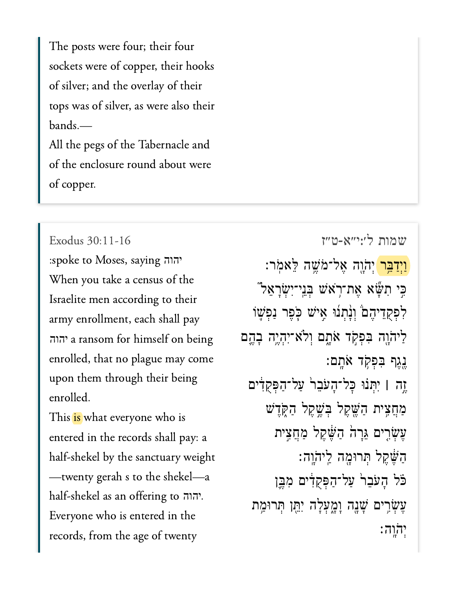The posts were four; their four sockets were of copper, their hooks of silver; and the overlay of their tops was of silver, as were also their bands.—

All the pegs of the Tabernacle and of the enclosure round about were of copper.

:spoke to Moses, saying יהוה When you take a census of the Israelite men according to their army enrollment, each shall pay a ransom for himself on being יהוה enrolled, that no plague may come upon them through their being enrolled.

This is what everyone who is entered in the records shall pay: a half-shekel by the sanctuary weight —twenty gerah s to the shekel—a half-shekel as an offering to יהוה. Everyone who is entered in the records, from the age of twenty

[שמות ל׳:י״א-ט״ז](https://www.sefaria.org/Exodus%2030:11-16) [30:11-16 Exodus](https://www.sefaria.org/Exodus%2030:11-16) <mark>וַיִדַבֵּר</mark> יִהֹוֶה אֱל־מֹשֱה לֵּאמִר: ִּ֣כ י ִת ָּׂ֞ש א ֶא ת־ֹ֥ר אׁש ְּב ֵֽני־ִיְׂש ָר ֵא ֮ל לִפְקַדִיהֵם וְנָתְנוּ אָישׁ כְּפֶר נַפְשָׁוֹ ַל יֹהֹוֶה בִּפְקִד אֹתֱם וְלֹא־יִהְיֶה בְהֶם ֶנֶגֶף בְּפְקָד אֹתֵם: ֶ֣זה **׀** ִיְּת ֗נ ּו ׇּכ ל־ָה ֹע ֵב ֙ר ַע ל־ַה ְּפ ֻק ִ֔ד ים ַמְחֲצִית הַשֵּׁקֵל בְּשֵׁקֵל הַקְּדֵש ְעֵשָׂרֵים גֵּרָה *הַ*שֶּׁקֶל מַחֲצִית הַשֵּׁקֵל תִּרוּמֶה לַיהוָה: ּכֹּל הָעֹּבֵר<sup>י</sup> עַל־הַפְּקְדִים מִבֱן עֶשְׂרִים שָׁנֶה וָמֳעְלָה יִתֵּֽן תְּרוּמַת יהוה: